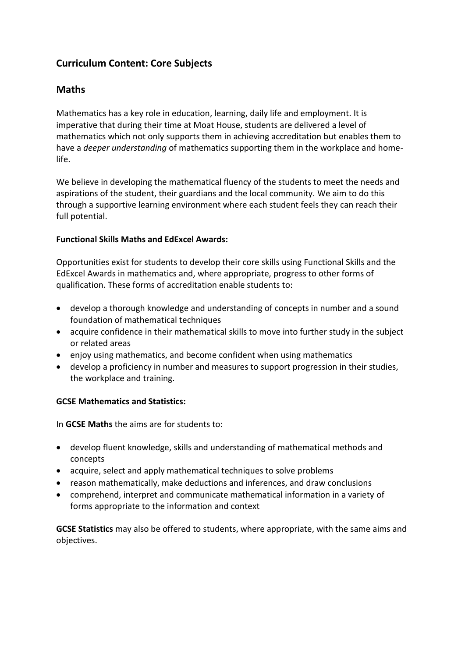## **Curriculum Content: Core Subjects**

## **Maths**

Mathematics has a key role in education, learning, daily life and employment. It is imperative that during their time at Moat House, students are delivered a level of mathematics which not only supports them in achieving accreditation but enables them to have a *deeper understanding* of mathematics supporting them in the workplace and homelife.

We believe in developing the mathematical fluency of the students to meet the needs and aspirations of the student, their guardians and the local community. We aim to do this through a supportive learning environment where each student feels they can reach their full potential.

### **Functional Skills Maths and EdExcel Awards:**

Opportunities exist for students to develop their core skills using Functional Skills and the EdExcel Awards in mathematics and, where appropriate, progress to other forms of qualification. These forms of accreditation enable students to:

- develop a thorough knowledge and understanding of concepts in number and a sound foundation of mathematical techniques
- acquire confidence in their mathematical skills to move into further study in the subject or related areas
- enjoy using mathematics, and become confident when using mathematics
- develop a proficiency in number and measures to support progression in their studies, the workplace and training.

### **GCSE Mathematics and Statistics:**

In **GCSE Maths** the aims are for students to:

- develop fluent knowledge, skills and understanding of mathematical methods and concepts
- acquire, select and apply mathematical techniques to solve problems
- reason mathematically, make deductions and inferences, and draw conclusions
- comprehend, interpret and communicate mathematical information in a variety of forms appropriate to the information and context

**GCSE Statistics** may also be offered to students, where appropriate, with the same aims and objectives.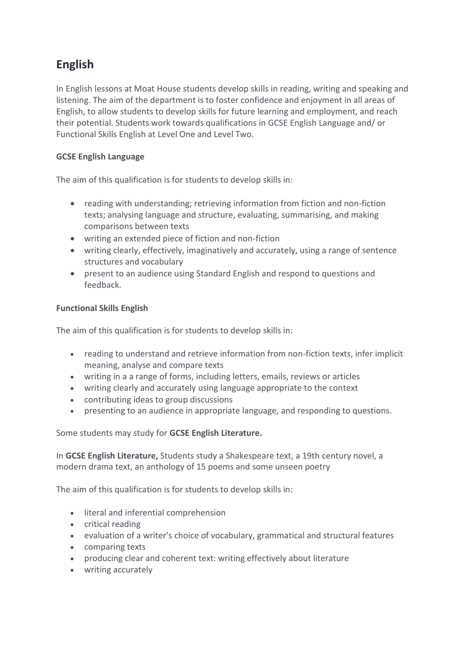# **English**

In English lessons at Moat House students develop skills in reading, writing and speaking and listening. The aim of the department is to foster confidence and enjoyment in all areas of English, to allow students to develop skills for future learning and employment, and reach their potential. Students work towards qualifications in GCSE English Language and/ or Functional Skills English at Level One and Level Two.

### **GCSE English Language**

The aim of this qualification is for students to develop skills in:

- reading with understanding; retrieving information from fiction and non-fiction texts; analysing language and structure, evaluating, summarising, and making comparisons between texts
- writing an extended piece of fiction and non-fiction
- writing clearly, effectively, imaginatively and accurately, using a range of sentence structures and vocabulary
- present to an audience using Standard English and respond to questions and feedback.

### **Functional Skills English**

The aim of this qualification is for students to develop skills in:

- reading to understand and retrieve information from non-fiction texts, infer implicit meaning, analyse and compare texts
- writing in a a range of forms, including letters, emails, reviews or articles
- writing clearly and accurately using language appropriate to the context
- contributing ideas to group discussions
- presenting to an audience in appropriate language, and responding to questions.

Some students may study for **GCSE English Literature.** 

In **GCSE English Literature,** Students study a Shakespeare text, a 19th century novel, a modern drama text, an anthology of 15 poems and some unseen poetry

The aim of this qualification is for students to develop skills in:

- **.** literal and inferential comprehension
- critical reading
- evaluation of a writer's choice of vocabulary, grammatical and structural features
- comparing texts
- producing clear and coherent text: writing effectively about literature
- writing accurately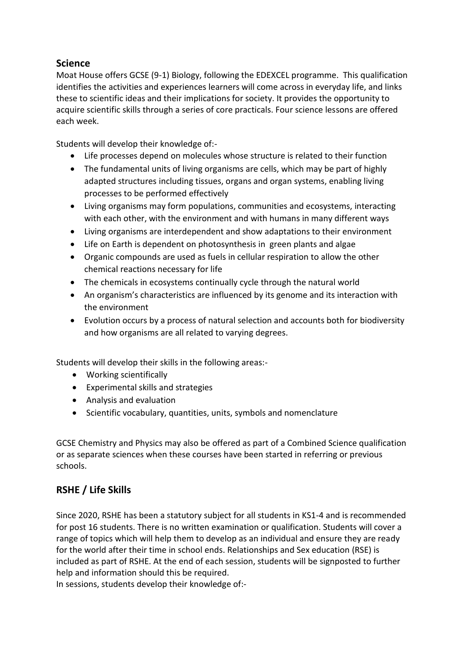### **Science**

Moat House offers GCSE (9-1) Biology, following the EDEXCEL programme. This qualification identifies the activities and experiences learners will come across in everyday life, and links these to scientific ideas and their implications for society. It provides the opportunity to acquire scientific skills through a series of core practicals. Four science lessons are offered each week.

Students will develop their knowledge of:-

- Life processes depend on molecules whose structure is related to their function
- The fundamental units of living organisms are cells, which may be part of highly adapted structures including tissues, organs and organ systems, enabling living processes to be performed effectively
- Living organisms may form populations, communities and ecosystems, interacting with each other, with the environment and with humans in many different ways
- Living organisms are interdependent and show adaptations to their environment
- Life on Earth is dependent on photosynthesis in green plants and algae
- Organic compounds are used as fuels in cellular respiration to allow the other chemical reactions necessary for life
- The chemicals in ecosystems continually cycle through the natural world
- An organism's characteristics are influenced by its genome and its interaction with the environment
- Evolution occurs by a process of natural selection and accounts both for biodiversity and how organisms are all related to varying degrees.

Students will develop their skills in the following areas:-

- Working scientifically
- Experimental skills and strategies
- Analysis and evaluation
- Scientific vocabulary, quantities, units, symbols and nomenclature

GCSE Chemistry and Physics may also be offered as part of a Combined Science qualification or as separate sciences when these courses have been started in referring or previous schools.

## **RSHE / Life Skills**

Since 2020, RSHE has been a statutory subject for all students in KS1-4 and is recommended for post 16 students. There is no written examination or qualification. Students will cover a range of topics which will help them to develop as an individual and ensure they are ready for the world after their time in school ends. Relationships and Sex education (RSE) is included as part of RSHE. At the end of each session, students will be signposted to further help and information should this be required.

In sessions, students develop their knowledge of:-